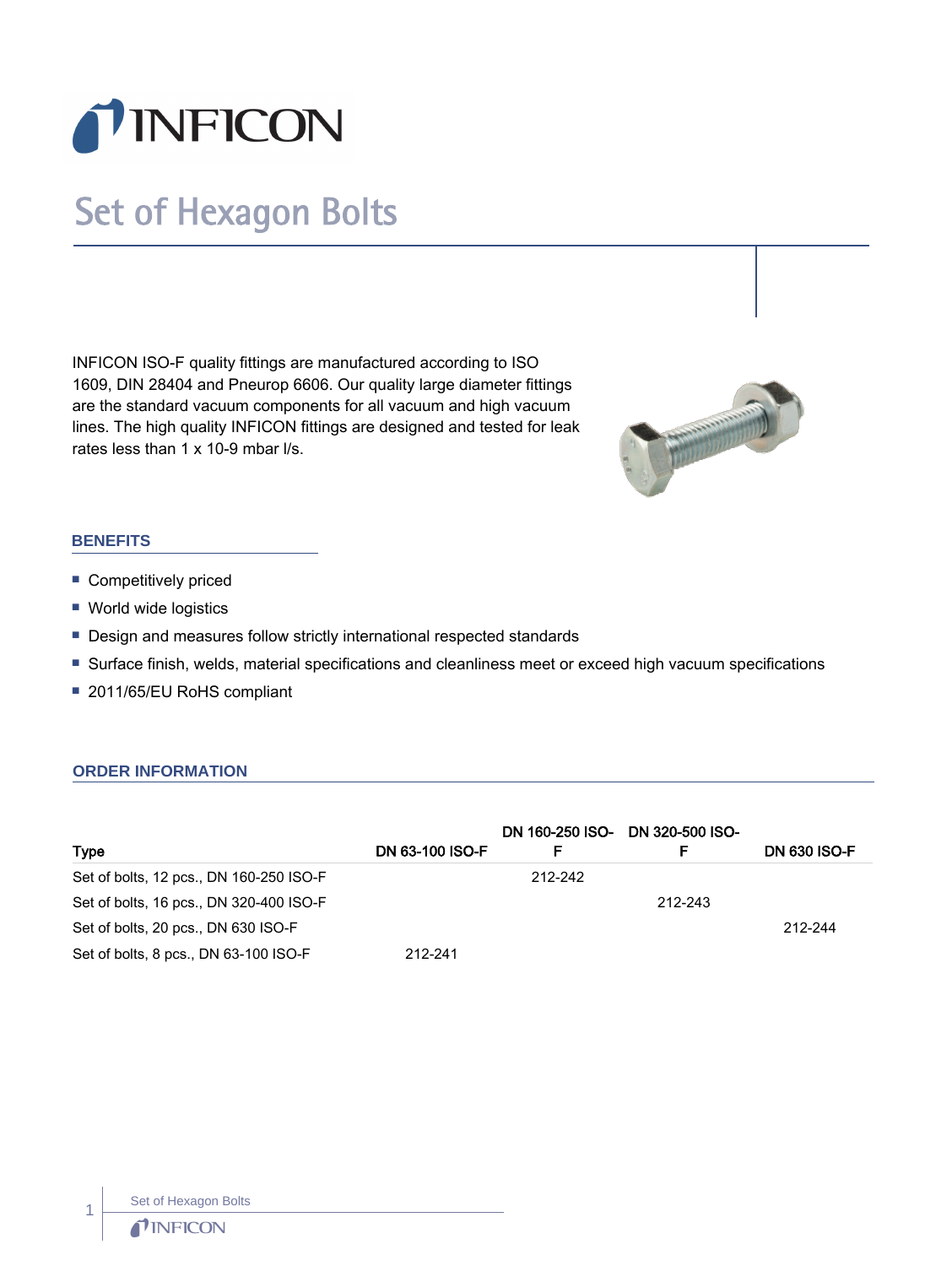

# Set of Hexagon Bolts

INFICON ISO-F quality fittings are manufactured according to ISO 1609, DIN 28404 and Pneurop 6606. Our quality large diameter fittings are the standard vacuum components for all vacuum and high vacuum lines. The high quality INFICON fittings are designed and tested for leak rates less than 1 x 10-9 mbar l/s.



### **BENEFITS**

- **Competitively priced**
- World wide logistics
- Design and measures follow strictly international respected standards
- n Surface finish, welds, material specifications and cleanliness meet or exceed high vacuum specifications
- 2011/65/EU RoHS compliant

#### **ORDER INFORMATION**

| <b>Type</b>                             | <b>DN 63-100 ISO-F</b> | F       | DN 160-250 ISO- DN 320-500 ISO-<br>F | <b>DN 630 ISO-F</b> |
|-----------------------------------------|------------------------|---------|--------------------------------------|---------------------|
| Set of bolts, 12 pcs., DN 160-250 ISO-F |                        | 212-242 |                                      |                     |
| Set of bolts, 16 pcs., DN 320-400 ISO-F |                        |         | 212-243                              |                     |
| Set of bolts, 20 pcs., DN 630 ISO-F     |                        |         |                                      | 212-244             |
| Set of bolts, 8 pcs., DN 63-100 ISO-F   | 212-241                |         |                                      |                     |